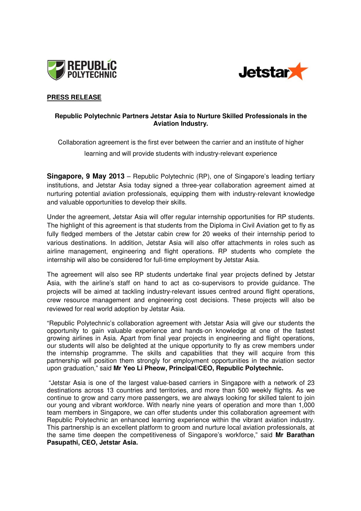



# **PRESS RELEASE**

# **Republic Polytechnic Partners Jetstar Asia to Nurture Skilled Professionals in the Aviation Industry.**

Collaboration agreement is the first ever between the carrier and an institute of higher

learning and will provide students with industry-relevant experience

**Singapore, 9 May 2013** – Republic Polytechnic (RP), one of Singapore's leading tertiary institutions, and Jetstar Asia today signed a three-year collaboration agreement aimed at nurturing potential aviation professionals, equipping them with industry-relevant knowledge and valuable opportunities to develop their skills.

Under the agreement, Jetstar Asia will offer regular internship opportunities for RP students. The highlight of this agreement is that students from the Diploma in Civil Aviation get to fly as fully fledged members of the Jetstar cabin crew for 20 weeks of their internship period to various destinations. In addition, Jetstar Asia will also offer attachments in roles such as airline management, engineering and flight operations. RP students who complete the internship will also be considered for full-time employment by Jetstar Asia.

The agreement will also see RP students undertake final year projects defined by Jetstar Asia, with the airline's staff on hand to act as co-supervisors to provide guidance. The projects will be aimed at tackling industry-relevant issues centred around flight operations, crew resource management and engineering cost decisions. These projects will also be reviewed for real world adoption by Jetstar Asia.

"Republic Polytechnic's collaboration agreement with Jetstar Asia will give our students the opportunity to gain valuable experience and hands-on knowledge at one of the fastest growing airlines in Asia. Apart from final year projects in engineering and flight operations, our students will also be delighted at the unique opportunity to fly as crew members under the internship programme. The skills and capabilities that they will acquire from this partnership will position them strongly for employment opportunities in the aviation sector upon graduation," said **Mr Yeo Li Pheow, Principal/CEO, Republic Polytechnic.** 

 "Jetstar Asia is one of the largest value-based carriers in Singapore with a network of 23 destinations across 13 countries and territories, and more than 500 weekly flights. As we continue to grow and carry more passengers, we are always looking for skilled talent to join our young and vibrant workforce. With nearly nine years of operation and more than 1,000 team members in Singapore, we can offer students under this collaboration agreement with Republic Polytechnic an enhanced learning experience within the vibrant aviation industry. This partnership is an excellent platform to groom and nurture local aviation professionals, at the same time deepen the competitiveness of Singapore's workforce," said **Mr Barathan Pasupathi, CEO, Jetstar Asia.**